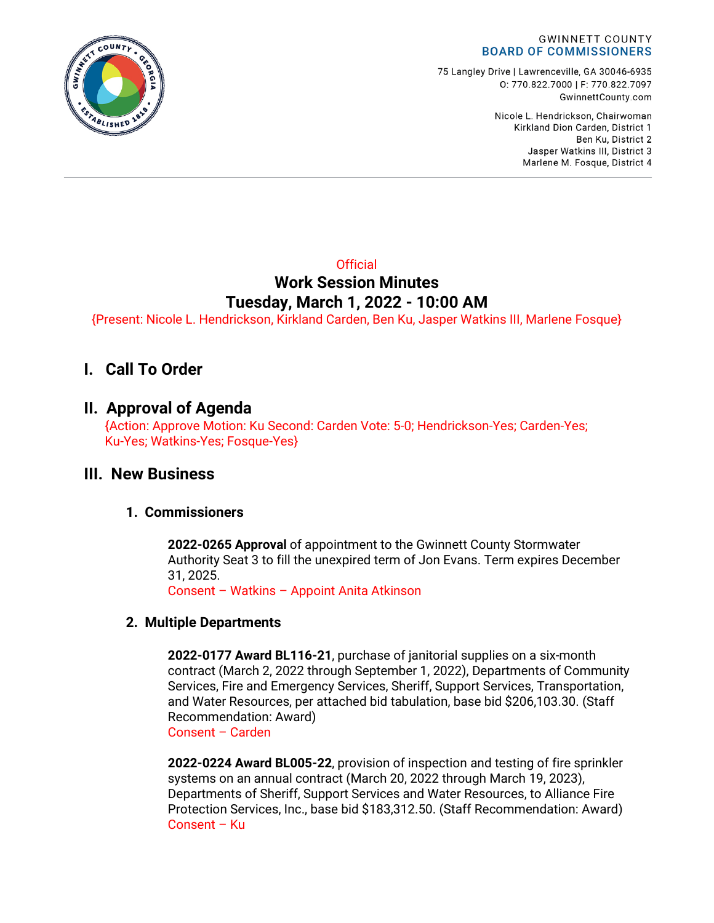

75 Langley Drive | Lawrenceville, GA 30046-6935 0: 770.822.7000 | F: 770.822.7097 GwinnettCounty.com

> Nicole L. Hendrickson, Chairwoman Kirkland Dion Carden, District 1 Ben Ku. District 2 Jasper Watkins III, District 3 Marlene M. Fosque, District 4

# **Official Work Session Minutes Tuesday, March 1, 2022 - 10:00 AM**

{Present: Nicole L. Hendrickson, Kirkland Carden, Ben Ku, Jasper Watkins III, Marlene Fosque}

# **I. Call To Order**

# **II. Approval of Agenda**

{Action: Approve Motion: Ku Second: Carden Vote: 5-0; Hendrickson-Yes; Carden-Yes; Ku-Yes; Watkins-Yes; Fosque-Yes}

## **III. New Business**

## **1. Commissioners**

**2022-0265 Approval** of appointment to the Gwinnett County Stormwater Authority Seat 3 to fill the unexpired term of Jon Evans. Term expires December 31, 2025.

Consent – Watkins – Appoint Anita Atkinson

#### **2. Multiple Departments**

**2022-0177 Award BL116-21**, purchase of janitorial supplies on a six-month contract (March 2, 2022 through September 1, 2022), Departments of Community Services, Fire and Emergency Services, Sheriff, Support Services, Transportation, and Water Resources, per attached bid tabulation, base bid \$206,103.30. (Staff Recommendation: Award) Consent – Carden

**2022-0224 Award BL005-22**, provision of inspection and testing of fire sprinkler systems on an annual contract (March 20, 2022 through March 19, 2023), Departments of Sheriff, Support Services and Water Resources, to Alliance Fire Protection Services, Inc., base bid \$183,312.50. (Staff Recommendation: Award) Consent – Ku

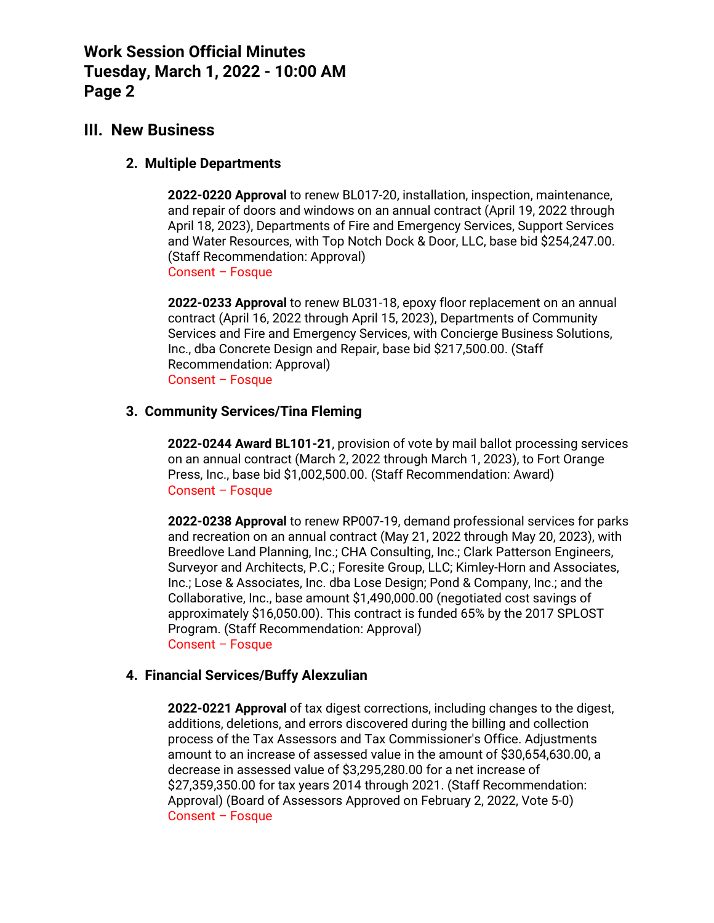## **III. New Business**

### **2. Multiple Departments**

**2022-0220 Approval** to renew BL017-20, installation, inspection, maintenance, and repair of doors and windows on an annual contract (April 19, 2022 through April 18, 2023), Departments of Fire and Emergency Services, Support Services and Water Resources, with Top Notch Dock & Door, LLC, base bid \$254,247.00. (Staff Recommendation: Approval) Consent – Fosque

**2022-0233 Approval** to renew BL031-18, epoxy floor replacement on an annual contract (April 16, 2022 through April 15, 2023), Departments of Community Services and Fire and Emergency Services, with Concierge Business Solutions, Inc., dba Concrete Design and Repair, base bid \$217,500.00. (Staff Recommendation: Approval) Consent – Fosque

### **3. Community Services/Tina Fleming**

**2022-0244 Award BL101-21**, provision of vote by mail ballot processing services on an annual contract (March 2, 2022 through March 1, 2023), to Fort Orange Press, Inc., base bid \$1,002,500.00. (Staff Recommendation: Award) Consent – Fosque

**2022-0238 Approval** to renew RP007-19, demand professional services for parks and recreation on an annual contract (May 21, 2022 through May 20, 2023), with Breedlove Land Planning, Inc.; CHA Consulting, Inc.; Clark Patterson Engineers, Surveyor and Architects, P.C.; Foresite Group, LLC; Kimley-Horn and Associates, Inc.; Lose & Associates, Inc. dba Lose Design; Pond & Company, Inc.; and the Collaborative, Inc., base amount \$1,490,000.00 (negotiated cost savings of approximately \$16,050.00). This contract is funded 65% by the 2017 SPLOST Program. (Staff Recommendation: Approval) Consent – Fosque

### **4. Financial Services/Buffy Alexzulian**

**2022-0221 Approval** of tax digest corrections, including changes to the digest, additions, deletions, and errors discovered during the billing and collection process of the Tax Assessors and Tax Commissioner's Office. Adjustments amount to an increase of assessed value in the amount of \$30,654,630.00, a decrease in assessed value of \$3,295,280.00 for a net increase of \$27,359,350.00 for tax years 2014 through 2021. (Staff Recommendation: Approval) (Board of Assessors Approved on February 2, 2022, Vote 5-0) Consent – Fosque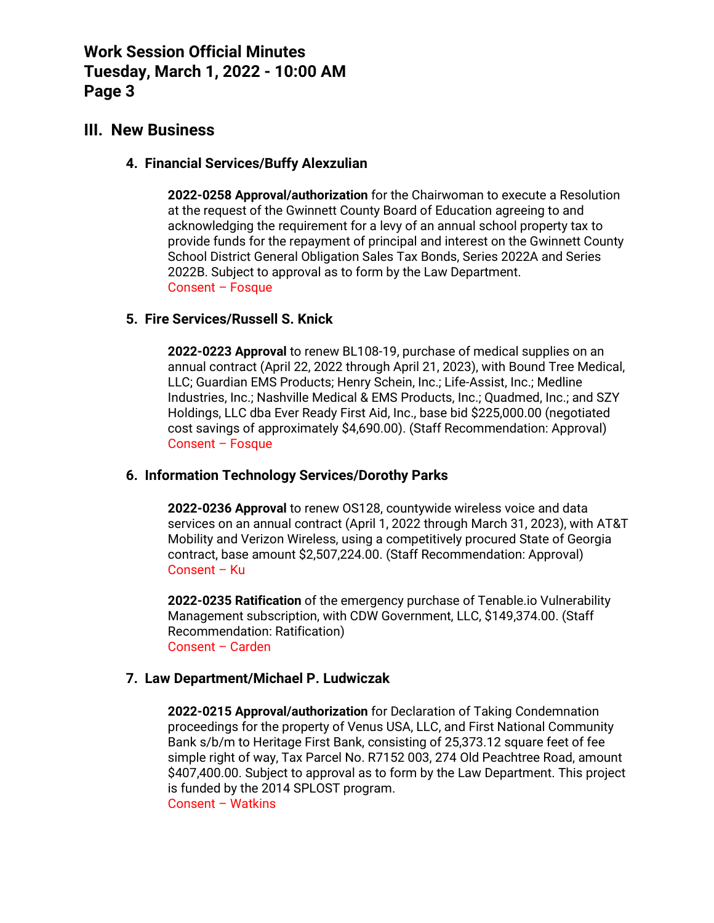## **III. New Business**

#### **4. Financial Services/Buffy Alexzulian**

**2022-0258 Approval/authorization** for the Chairwoman to execute a Resolution at the request of the Gwinnett County Board of Education agreeing to and acknowledging the requirement for a levy of an annual school property tax to provide funds for the repayment of principal and interest on the Gwinnett County School District General Obligation Sales Tax Bonds, Series 2022A and Series 2022B. Subject to approval as to form by the Law Department. Consent – Fosque

#### **5. Fire Services/Russell S. Knick**

**2022-0223 Approval** to renew BL108-19, purchase of medical supplies on an annual contract (April 22, 2022 through April 21, 2023), with Bound Tree Medical, LLC; Guardian EMS Products; Henry Schein, Inc.; Life-Assist, Inc.; Medline Industries, Inc.; Nashville Medical & EMS Products, Inc.; Quadmed, Inc.; and SZY Holdings, LLC dba Ever Ready First Aid, Inc., base bid \$225,000.00 (negotiated cost savings of approximately \$4,690.00). (Staff Recommendation: Approval) Consent – Fosque

#### **6. Information Technology Services/Dorothy Parks**

**2022-0236 Approval** to renew OS128, countywide wireless voice and data services on an annual contract (April 1, 2022 through March 31, 2023), with AT&T Mobility and Verizon Wireless, using a competitively procured State of Georgia contract, base amount \$2,507,224.00. (Staff Recommendation: Approval) Consent – Ku

**2022-0235 Ratification** of the emergency purchase of Tenable.io Vulnerability Management subscription, with CDW Government, LLC, \$149,374.00. (Staff Recommendation: Ratification) Consent – Carden

## **7. Law Department/Michael P. Ludwiczak**

**2022-0215 Approval/authorization** for Declaration of Taking Condemnation proceedings for the property of Venus USA, LLC, and First National Community Bank s/b/m to Heritage First Bank, consisting of 25,373.12 square feet of fee simple right of way, Tax Parcel No. R7152 003, 274 Old Peachtree Road, amount \$407,400.00. Subject to approval as to form by the Law Department. This project is funded by the 2014 SPLOST program. Consent – Watkins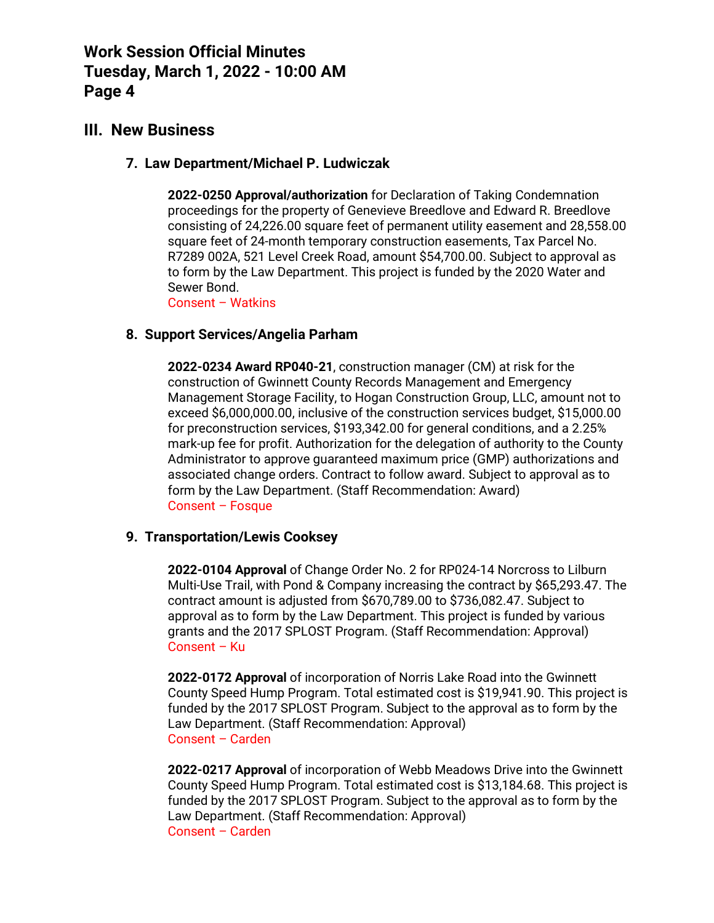# **III. New Business**

## **7. Law Department/Michael P. Ludwiczak**

**2022-0250 Approval/authorization** for Declaration of Taking Condemnation proceedings for the property of Genevieve Breedlove and Edward R. Breedlove consisting of 24,226.00 square feet of permanent utility easement and 28,558.00 square feet of 24-month temporary construction easements, Tax Parcel No. R7289 002A, 521 Level Creek Road, amount \$54,700.00. Subject to approval as to form by the Law Department. This project is funded by the 2020 Water and Sewer Bond.

Consent – Watkins

### **8. Support Services/Angelia Parham**

**2022-0234 Award RP040-21**, construction manager (CM) at risk for the construction of Gwinnett County Records Management and Emergency Management Storage Facility, to Hogan Construction Group, LLC, amount not to exceed \$6,000,000.00, inclusive of the construction services budget, \$15,000.00 for preconstruction services, \$193,342.00 for general conditions, and a 2.25% mark-up fee for profit. Authorization for the delegation of authority to the County Administrator to approve guaranteed maximum price (GMP) authorizations and associated change orders. Contract to follow award. Subject to approval as to form by the Law Department. (Staff Recommendation: Award) Consent – Fosque

## **9. Transportation/Lewis Cooksey**

**2022-0104 Approval** of Change Order No. 2 for RP024-14 Norcross to Lilburn Multi-Use Trail, with Pond & Company increasing the contract by \$65,293.47. The contract amount is adjusted from \$670,789.00 to \$736,082.47. Subject to approval as to form by the Law Department. This project is funded by various grants and the 2017 SPLOST Program. (Staff Recommendation: Approval) Consent – Ku

**2022-0172 Approval** of incorporation of Norris Lake Road into the Gwinnett County Speed Hump Program. Total estimated cost is \$19,941.90. This project is funded by the 2017 SPLOST Program. Subject to the approval as to form by the Law Department. (Staff Recommendation: Approval) Consent – Carden

**2022-0217 Approval** of incorporation of Webb Meadows Drive into the Gwinnett County Speed Hump Program. Total estimated cost is \$13,184.68. This project is funded by the 2017 SPLOST Program. Subject to the approval as to form by the Law Department. (Staff Recommendation: Approval) Consent – Carden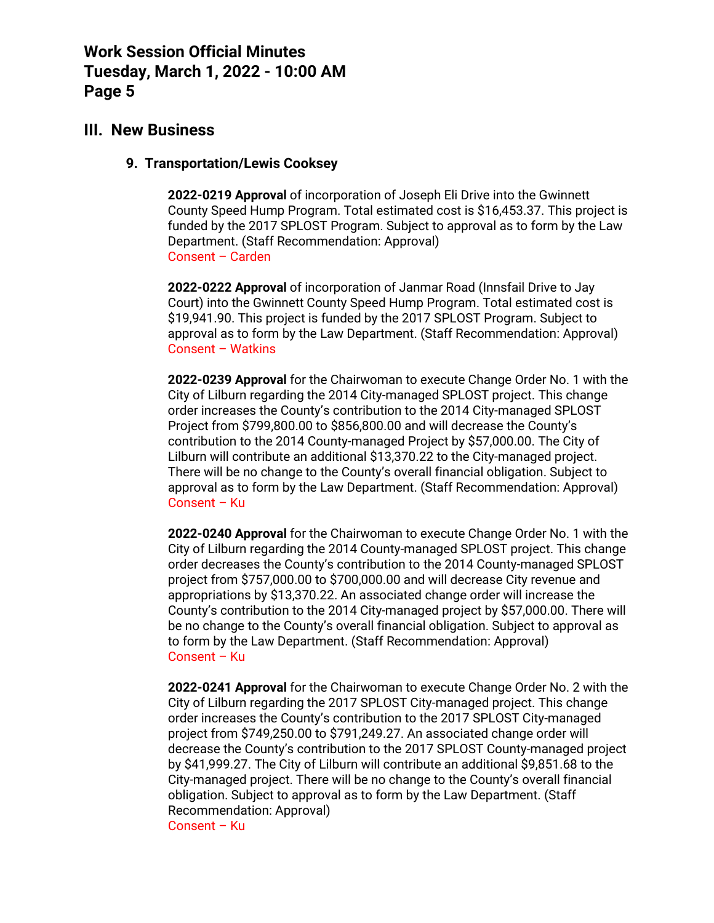## **III. New Business**

#### **9. Transportation/Lewis Cooksey**

**2022-0219 Approval** of incorporation of Joseph Eli Drive into the Gwinnett County Speed Hump Program. Total estimated cost is \$16,453.37. This project is funded by the 2017 SPLOST Program. Subject to approval as to form by the Law Department. (Staff Recommendation: Approval) Consent – Carden

**2022-0222 Approval** of incorporation of Janmar Road (Innsfail Drive to Jay Court) into the Gwinnett County Speed Hump Program. Total estimated cost is \$19,941.90. This project is funded by the 2017 SPLOST Program. Subject to approval as to form by the Law Department. (Staff Recommendation: Approval) Consent – Watkins

**2022-0239 Approval** for the Chairwoman to execute Change Order No. 1 with the City of Lilburn regarding the 2014 City-managed SPLOST project. This change order increases the County's contribution to the 2014 City-managed SPLOST Project from \$799,800.00 to \$856,800.00 and will decrease the County's contribution to the 2014 County-managed Project by \$57,000.00. The City of Lilburn will contribute an additional \$13,370.22 to the City-managed project. There will be no change to the County's overall financial obligation. Subject to approval as to form by the Law Department. (Staff Recommendation: Approval) Consent – Ku

**2022-0240 Approval** for the Chairwoman to execute Change Order No. 1 with the City of Lilburn regarding the 2014 County-managed SPLOST project. This change order decreases the County's contribution to the 2014 County-managed SPLOST project from \$757,000.00 to \$700,000.00 and will decrease City revenue and appropriations by \$13,370.22. An associated change order will increase the County's contribution to the 2014 City-managed project by \$57,000.00. There will be no change to the County's overall financial obligation. Subject to approval as to form by the Law Department. (Staff Recommendation: Approval) Consent – Ku

**2022-0241 Approval** for the Chairwoman to execute Change Order No. 2 with the City of Lilburn regarding the 2017 SPLOST City-managed project. This change order increases the County's contribution to the 2017 SPLOST City-managed project from \$749,250.00 to \$791,249.27. An associated change order will decrease the County's contribution to the 2017 SPLOST County-managed project by \$41,999.27. The City of Lilburn will contribute an additional \$9,851.68 to the City-managed project. There will be no change to the County's overall financial obligation. Subject to approval as to form by the Law Department. (Staff Recommendation: Approval) Consent – Ku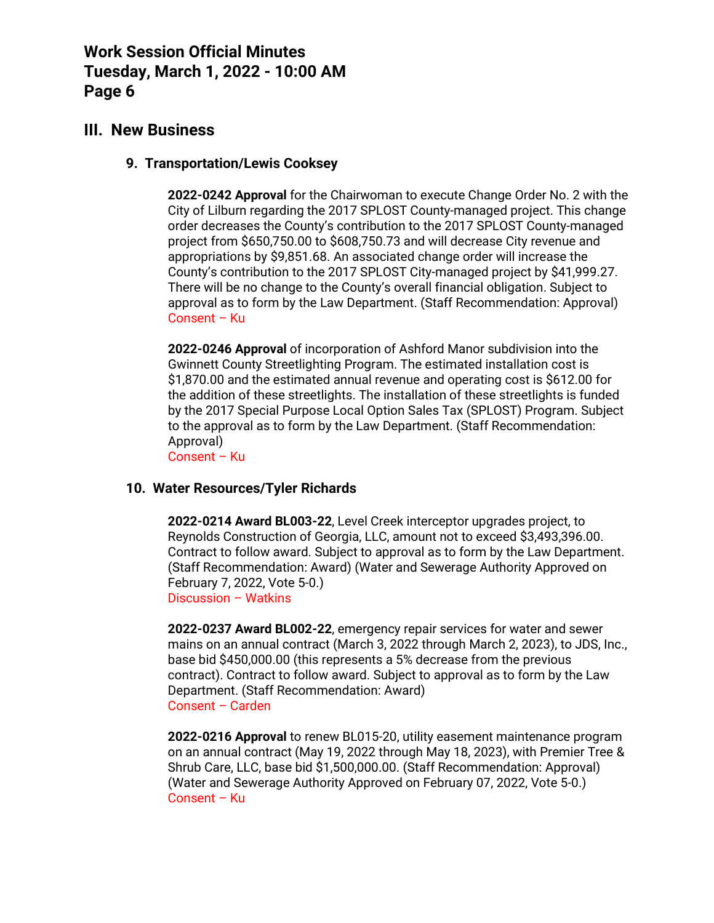# **III. New Business**

## **9. Transportation/Lewis Cooksey**

**2022-0242 Approval** for the Chairwoman to execute Change Order No. 2 with the City of Lilburn regarding the 2017 SPLOST County-managed project. This change order decreases the County's contribution to the 2017 SPLOST County-managed project from \$650,750.00 to \$608,750.73 and will decrease City revenue and appropriations by \$9,851.68. An associated change order will increase the County's contribution to the 2017 SPLOST City-managed project by \$41,999.27. There will be no change to the County's overall financial obligation. Subject to approval as to form by the Law Department. (Staff Recommendation: Approval) Consent – Ku

**2022-0246 Approval** of incorporation of Ashford Manor subdivision into the Gwinnett County Streetlighting Program. The estimated installation cost is \$1,870.00 and the estimated annual revenue and operating cost is \$612.00 for the addition of these streetlights. The installation of these streetlights is funded by the 2017 Special Purpose Local Option Sales Tax (SPLOST) Program. Subject to the approval as to form by the Law Department. (Staff Recommendation: Approval)

Consent – Ku

#### **10. Water Resources/Tyler Richards**

**2022-0214 Award BL003-22**, Level Creek interceptor upgrades project, to Reynolds Construction of Georgia, LLC, amount not to exceed \$3,493,396.00. Contract to follow award. Subject to approval as to form by the Law Department. (Staff Recommendation: Award) (Water and Sewerage Authority Approved on February 7, 2022, Vote 5-0.) Discussion – Watkins

**2022-0237 Award BL002-22**, emergency repair services for water and sewer mains on an annual contract (March 3, 2022 through March 2, 2023), to JDS, Inc., base bid \$450,000.00 (this represents a 5% decrease from the previous contract). Contract to follow award. Subject to approval as to form by the Law Department. (Staff Recommendation: Award) Consent – Carden

**2022-0216 Approval** to renew BL015-20, utility easement maintenance program on an annual contract (May 19, 2022 through May 18, 2023), with Premier Tree & Shrub Care, LLC, base bid \$1,500,000.00. (Staff Recommendation: Approval) (Water and Sewerage Authority Approved on February 07, 2022, Vote 5-0.) Consent – Ku